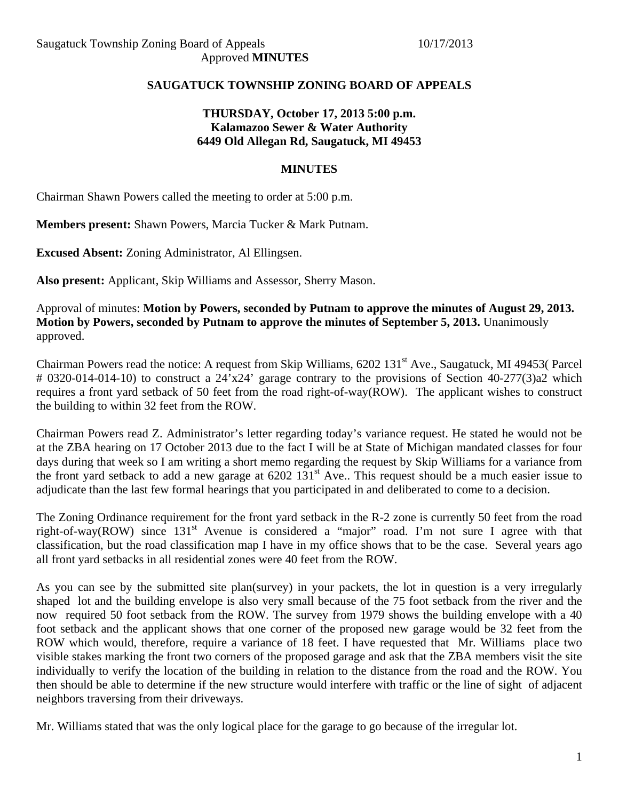## **SAUGATUCK TOWNSHIP ZONING BOARD OF APPEALS**

## **THURSDAY, October 17, 2013 5:00 p.m. Kalamazoo Sewer & Water Authority 6449 Old Allegan Rd, Saugatuck, MI 49453**

#### **MINUTES**

Chairman Shawn Powers called the meeting to order at 5:00 p.m.

**Members present:** Shawn Powers, Marcia Tucker & Mark Putnam.

**Excused Absent:** Zoning Administrator, Al Ellingsen.

**Also present:** Applicant, Skip Williams and Assessor, Sherry Mason.

Approval of minutes: **Motion by Powers, seconded by Putnam to approve the minutes of August 29, 2013. Motion by Powers, seconded by Putnam to approve the minutes of September 5, 2013.** Unanimously approved.

Chairman Powers read the notice: A request from Skip Williams, 6202 131<sup>st</sup> Ave., Saugatuck, MI 49453( Parcel # 0320-014-014-10) to construct a 24'x24' garage contrary to the provisions of Section 40-277(3)a2 which requires a front yard setback of 50 feet from the road right-of-way(ROW). The applicant wishes to construct the building to within 32 feet from the ROW.

Chairman Powers read Z. Administrator's letter regarding today's variance request. He stated he would not be at the ZBA hearing on 17 October 2013 due to the fact I will be at State of Michigan mandated classes for four days during that week so I am writing a short memo regarding the request by Skip Williams for a variance from the front yard setback to add a new garage at 6202 131<sup>st</sup> Ave.. This request should be a much easier issue to adjudicate than the last few formal hearings that you participated in and deliberated to come to a decision.

The Zoning Ordinance requirement for the front yard setback in the R-2 zone is currently 50 feet from the road right-of-way(ROW) since 131<sup>st</sup> Avenue is considered a "major" road. I'm not sure I agree with that classification, but the road classification map I have in my office shows that to be the case. Several years ago all front yard setbacks in all residential zones were 40 feet from the ROW.

As you can see by the submitted site plan(survey) in your packets, the lot in question is a very irregularly shaped lot and the building envelope is also very small because of the 75 foot setback from the river and the now required 50 foot setback from the ROW. The survey from 1979 shows the building envelope with a 40 foot setback and the applicant shows that one corner of the proposed new garage would be 32 feet from the ROW which would, therefore, require a variance of 18 feet. I have requested that Mr. Williams place two visible stakes marking the front two corners of the proposed garage and ask that the ZBA members visit the site individually to verify the location of the building in relation to the distance from the road and the ROW. You then should be able to determine if the new structure would interfere with traffic or the line of sight of adjacent neighbors traversing from their driveways.

Mr. Williams stated that was the only logical place for the garage to go because of the irregular lot.